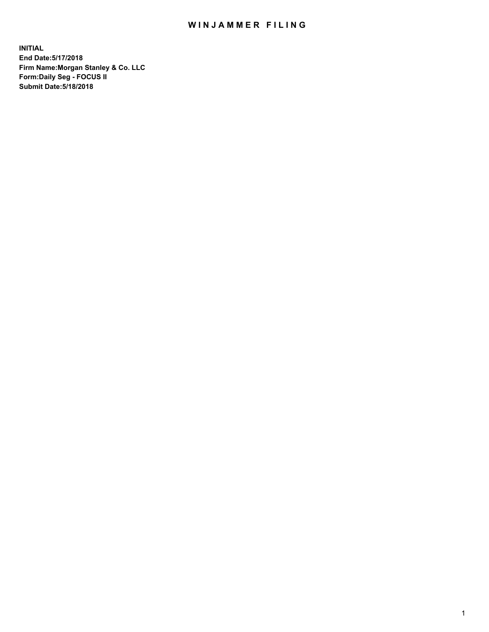## WIN JAMMER FILING

**INITIAL End Date:5/17/2018 Firm Name:Morgan Stanley & Co. LLC Form:Daily Seg - FOCUS II Submit Date:5/18/2018**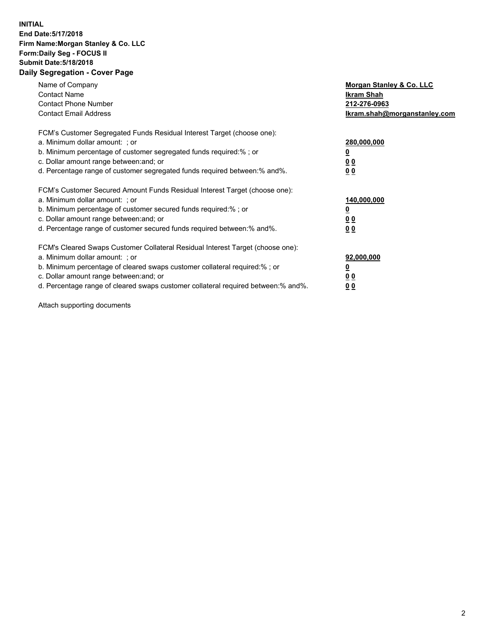## **INITIAL End Date:5/17/2018 Firm Name:Morgan Stanley & Co. LLC Form:Daily Seg - FOCUS II Submit Date:5/18/2018 Daily Segregation - Cover Page**

| Name of Company<br><b>Contact Name</b><br><b>Contact Phone Number</b><br><b>Contact Email Address</b>                                                                                                                                                                                                                         | Morgan Stanley & Co. LLC<br>Ikram Shah<br>212-276-0963<br>lkram.shah@morganstanley.com |
|-------------------------------------------------------------------------------------------------------------------------------------------------------------------------------------------------------------------------------------------------------------------------------------------------------------------------------|----------------------------------------------------------------------------------------|
| FCM's Customer Segregated Funds Residual Interest Target (choose one):<br>a. Minimum dollar amount: ; or<br>b. Minimum percentage of customer segregated funds required:%; or<br>c. Dollar amount range between: and; or<br>d. Percentage range of customer segregated funds required between:% and%.                         | 280,000,000<br>00<br>00                                                                |
| FCM's Customer Secured Amount Funds Residual Interest Target (choose one):<br>a. Minimum dollar amount: ; or<br>b. Minimum percentage of customer secured funds required:%; or<br>c. Dollar amount range between: and; or<br>d. Percentage range of customer secured funds required between:% and%.                           | 140,000,000<br>0 <sub>0</sub><br>0 <sub>0</sub>                                        |
| FCM's Cleared Swaps Customer Collateral Residual Interest Target (choose one):<br>a. Minimum dollar amount: ; or<br>b. Minimum percentage of cleared swaps customer collateral required:%; or<br>c. Dollar amount range between: and; or<br>d. Percentage range of cleared swaps customer collateral required between:% and%. | 92,000,000<br>0 <sub>0</sub><br><u>00</u>                                              |

Attach supporting documents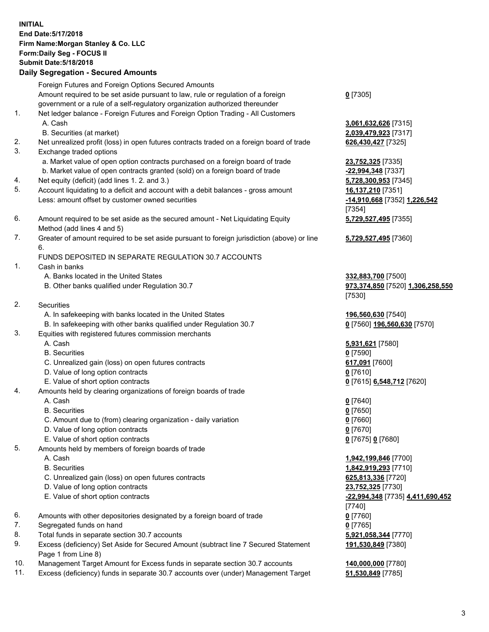## **INITIAL End Date:5/17/2018 Firm Name:Morgan Stanley & Co. LLC Form:Daily Seg - FOCUS II Submit Date:5/18/2018**

**Daily Segregation - Secured Amounts** Foreign Futures and Foreign Options Secured Amounts Amount required to be set aside pursuant to law, rule or regulation of a foreign government or a rule of a self-regulatory organization authorized thereunder 1. Net ledger balance - Foreign Futures and Foreign Option Trading - All Customers A. Cash **3,061,632,626** [7315] B. Securities (at market) **2,039,479,923** [7317] 2. Net unrealized profit (loss) in open futures contracts traded on a foreign board of trade **626,430,427** [7325] 3. Exchange traded options a. Market value of open option contracts purchased on a foreign board of trade **23,752,325** [7335] b. Market value of open contracts granted (sold) on a foreign board of trade **-22,994,348** [7337] 4. Net equity (deficit) (add lines 1. 2. and 3.) **5,728,300,953** [7345] 5. Account liquidating to a deficit and account with a debit balances - gross amount **16,137,210** [7351] Less: amount offset by customer owned securities **-14,910,668** [7352] **1,226,542** 6. Amount required to be set aside as the secured amount - Net Liquidating Equity Method (add lines 4 and 5) 7. Greater of amount required to be set aside pursuant to foreign jurisdiction (above) or line 6. FUNDS DEPOSITED IN SEPARATE REGULATION 30.7 ACCOUNTS 1. Cash in banks A. Banks located in the United States **332,883,700** [7500] B. Other banks qualified under Regulation 30.7 **973,374,850** [7520] **1,306,258,550** 2. Securities

- - A. In safekeeping with banks located in the United States **196,560,630** [7540]
	- B. In safekeeping with other banks qualified under Regulation 30.7 **0** [7560] **196,560,630** [7570]
- 3. Equities with registered futures commission merchants
	-
	-
	- C. Unrealized gain (loss) on open futures contracts **617,091** [7600]
	- D. Value of long option contracts **0** [7610]
- E. Value of short option contracts **0** [7615] **6,548,712** [7620]
- 4. Amounts held by clearing organizations of foreign boards of trade
	-
	-
	- C. Amount due to (from) clearing organization daily variation **0** [7660]
	- D. Value of long option contracts **0** [7670]
	- E. Value of short option contracts **0** [7675] **0** [7680]
- 5. Amounts held by members of foreign boards of trade
	-
	-
	- C. Unrealized gain (loss) on open futures contracts **625,813,336** [7720]
	- D. Value of long option contracts **23,752,325** [7730]
	- E. Value of short option contracts **-22,994,348** [7735] **4,411,690,452**
- 6. Amounts with other depositories designated by a foreign board of trade **0** [7760]
- 7. Segregated funds on hand **0** [7765]
- 8. Total funds in separate section 30.7 accounts **5,921,058,344** [7770]
- 9. Excess (deficiency) Set Aside for Secured Amount (subtract line 7 Secured Statement Page 1 from Line 8)
- 10. Management Target Amount for Excess funds in separate section 30.7 accounts **140,000,000** [7780]
- 11. Excess (deficiency) funds in separate 30.7 accounts over (under) Management Target **51,530,849** [7785]

**0** [7305]

[7354] **5,729,527,495** [7355]

**5,729,527,495** [7360]

[7530]

 A. Cash **5,931,621** [7580] B. Securities **0** [7590]

 A. Cash **0** [7640] B. Securities **0** [7650]

 A. Cash **1,942,199,846** [7700] B. Securities **1,842,919,293** [7710] [7740] **191,530,849** [7380]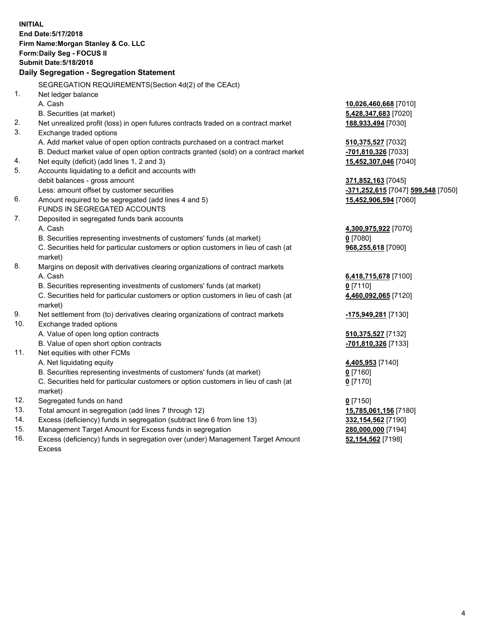**INITIAL End Date:5/17/2018 Firm Name:Morgan Stanley & Co. LLC Form:Daily Seg - FOCUS II Submit Date:5/18/2018 Daily Segregation - Segregation Statement** SEGREGATION REQUIREMENTS(Section 4d(2) of the CEAct) 1. Net ledger balance A. Cash **10,026,460,668** [7010] B. Securities (at market) **5,428,347,683** [7020] 2. Net unrealized profit (loss) in open futures contracts traded on a contract market **188,933,494** [7030] 3. Exchange traded options A. Add market value of open option contracts purchased on a contract market **510,375,527** [7032] B. Deduct market value of open option contracts granted (sold) on a contract market **-701,810,326** [7033] 4. Net equity (deficit) (add lines 1, 2 and 3) **15,452,307,046** [7040] 5. Accounts liquidating to a deficit and accounts with debit balances - gross amount **371,852,163** [7045] Less: amount offset by customer securities **-371,252,615** [7047] **599,548** [7050] 6. Amount required to be segregated (add lines 4 and 5) **15,452,906,594** [7060] FUNDS IN SEGREGATED ACCOUNTS 7. Deposited in segregated funds bank accounts A. Cash **4,300,975,922** [7070] B. Securities representing investments of customers' funds (at market) **0** [7080] C. Securities held for particular customers or option customers in lieu of cash (at market) **968,255,618** [7090] 8. Margins on deposit with derivatives clearing organizations of contract markets A. Cash **6,418,715,678** [7100] B. Securities representing investments of customers' funds (at market) **0** [7110] C. Securities held for particular customers or option customers in lieu of cash (at market) **4,460,092,065** [7120] 9. Net settlement from (to) derivatives clearing organizations of contract markets **-175,949,281** [7130] 10. Exchange traded options A. Value of open long option contracts **510,375,527** [7132] B. Value of open short option contracts **-701,810,326** [7133] 11. Net equities with other FCMs A. Net liquidating equity **4,405,953** [7140] B. Securities representing investments of customers' funds (at market) **0** [7160] C. Securities held for particular customers or option customers in lieu of cash (at market) **0** [7170] 12. Segregated funds on hand **0** [7150] 13. Total amount in segregation (add lines 7 through 12) **15,785,061,156** [7180] 14. Excess (deficiency) funds in segregation (subtract line 6 from line 13) **332,154,562** [7190] 15. Management Target Amount for Excess funds in segregation **280,000,000** [7194]

16. Excess (deficiency) funds in segregation over (under) Management Target Amount Excess

**52,154,562** [7198]